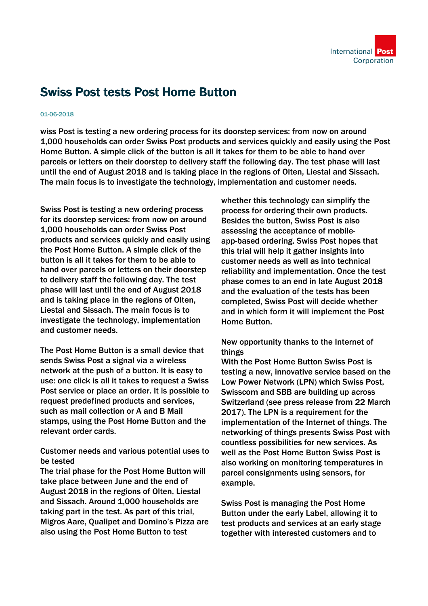

## Swiss Post tests Post Home Button

## 01-06-2018

wiss Post is testing a new ordering process for its doorstep services: from now on around 1,000 households can order Swiss Post products and services quickly and easily using the Post Home Button. A simple click of the button is all it takes for them to be able to hand over parcels or letters on their doorstep to delivery staff the following day. The test phase will last until the end of August 2018 and is taking place in the regions of Olten, Liestal and Sissach. The main focus is to investigate the technology, implementation and customer needs.

Swiss Post is testing a new ordering process for its doorstep services: from now on around 1,000 households can order Swiss Post products and services quickly and easily using the Post Home Button. A simple click of the button is all it takes for them to be able to hand over parcels or letters on their doorstep to delivery staff the following day. The test phase will last until the end of August 2018 and is taking place in the regions of Olten, Liestal and Sissach. The main focus is to investigate the technology, implementation and customer needs.

The Post Home Button is a small device that sends Swiss Post a signal via a wireless network at the push of a button. It is easy to use: one click is all it takes to request a Swiss Post service or place an order. It is possible to request predefined products and services, such as mail collection or A and B Mail stamps, using the Post Home Button and the relevant order cards.

Customer needs and various potential uses to be tested

The trial phase for the Post Home Button will take place between June and the end of August 2018 in the regions of Olten, Liestal and Sissach. Around 1,000 households are taking part in the test. As part of this trial, Migros Aare, Qualipet and Domino's Pizza are also using the Post Home Button to test

whether this technology can simplify the process for ordering their own products. Besides the button, Swiss Post is also assessing the acceptance of mobileapp-based ordering. Swiss Post hopes that this trial will help it gather insights into customer needs as well as into technical reliability and implementation. Once the test phase comes to an end in late August 2018 and the evaluation of the tests has been completed, Swiss Post will decide whether and in which form it will implement the Post Home Button.

## New opportunity thanks to the Internet of things

With the Post Home Button Swiss Post is testing a new, innovative service based on the Low Power Network (LPN) which Swiss Post, Swisscom and SBB are building up across Switzerland (see press release from 22 March 2017). The LPN is a requirement for the implementation of the Internet of things. The networking of things presents Swiss Post with countless possibilities for new services. As well as the Post Home Button Swiss Post is also working on monitoring temperatures in parcel consignments using sensors, for example.

Swiss Post is managing the Post Home Button under the early Label, allowing it to test products and services at an early stage together with interested customers and to